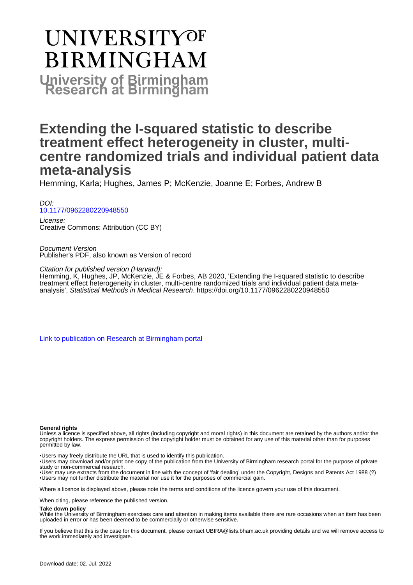# **UNIVERSITYOF BIRMINGHAM University of Birmingham**

# **Extending the I-squared statistic to describe treatment effect heterogeneity in cluster, multicentre randomized trials and individual patient data meta-analysis**

Hemming, Karla; Hughes, James P; McKenzie, Joanne E; Forbes, Andrew B

DOI: [10.1177/0962280220948550](https://doi.org/10.1177/0962280220948550)

License: Creative Commons: Attribution (CC BY)

Document Version Publisher's PDF, also known as Version of record

Citation for published version (Harvard):

Hemming, K, Hughes, JP, McKenzie, JE & Forbes, AB 2020, 'Extending the I-squared statistic to describe treatment effect heterogeneity in cluster, multi-centre randomized trials and individual patient data metaanalysis', Statistical Methods in Medical Research.<https://doi.org/10.1177/0962280220948550>

[Link to publication on Research at Birmingham portal](https://birmingham.elsevierpure.com/en/publications/36b26c58-26df-4409-a866-c9e52cadafd9)

#### **General rights**

Unless a licence is specified above, all rights (including copyright and moral rights) in this document are retained by the authors and/or the copyright holders. The express permission of the copyright holder must be obtained for any use of this material other than for purposes permitted by law.

• Users may freely distribute the URL that is used to identify this publication.

• Users may download and/or print one copy of the publication from the University of Birmingham research portal for the purpose of private study or non-commercial research.

• User may use extracts from the document in line with the concept of 'fair dealing' under the Copyright, Designs and Patents Act 1988 (?) • Users may not further distribute the material nor use it for the purposes of commercial gain.

Where a licence is displayed above, please note the terms and conditions of the licence govern your use of this document.

When citing, please reference the published version.

#### **Take down policy**

While the University of Birmingham exercises care and attention in making items available there are rare occasions when an item has been uploaded in error or has been deemed to be commercially or otherwise sensitive.

If you believe that this is the case for this document, please contact UBIRA@lists.bham.ac.uk providing details and we will remove access to the work immediately and investigate.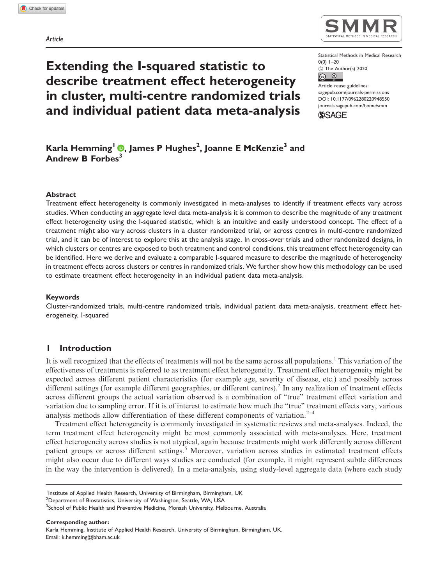Article

# Extending the I-squared statistic to describe treatment effect heterogeneity in cluster, multi-centre randomized trials and individual patient data meta-analysis



Statistical Methods in Medical Research 0(0) 1–20 C The Author(s) 2020  $\boxed{6}$   $\boxed{0}$ 

Article reuse guidelines: [sagepub.com/journals-permissions](http://uk.sagepub.com/en-gb/journals-permissions) [DOI: 10.1177/0962280220948550](http://dx.doi.org/10.1177/0962280220948550) <journals.sagepub.com/home/smm>



# Karla Hemming<sup>l</sup> ®[,](https://orcid.org/0000-0002-2226-6550) James P Hughes<sup>2</sup>, Joanne E McKenzie<sup>3</sup> and Andrew B Forbes<sup>3</sup>

#### Abstract

Treatment effect heterogeneity is commonly investigated in meta-analyses to identify if treatment effects vary across studies. When conducting an aggregate level data meta-analysis it is common to describe the magnitude of any treatment effect heterogeneity using the I-squared statistic, which is an intuitive and easily understood concept. The effect of a treatment might also vary across clusters in a cluster randomized trial, or across centres in multi-centre randomized trial, and it can be of interest to explore this at the analysis stage. In cross-over trials and other randomized designs, in which clusters or centres are exposed to both treatment and control conditions, this treatment effect heterogeneity can be identified. Here we derive and evaluate a comparable I-squared measure to describe the magnitude of heterogeneity in treatment effects across clusters or centres in randomized trials. We further show how this methodology can be used to estimate treatment effect heterogeneity in an individual patient data meta-analysis.

#### Keywords

Cluster-randomized trials, multi-centre randomized trials, individual patient data meta-analysis, treatment effect heterogeneity, I-squared

# 1 Introduction

It is well recognized that the effects of treatments will not be the same across all populations.<sup>1</sup> This variation of the effectiveness of treatments is referred to as treatment effect heterogeneity. Treatment effect heterogeneity might be expected across different patient characteristics (for example age, severity of disease, etc.) and possibly across different settings (for example different geographies, or different centres).<sup>2</sup> In any realization of treatment effects across different groups the actual variation observed is a combination of "true" treatment effect variation and variation due to sampling error. If it is of interest to estimate how much the "true" treatment effects vary, various analysis methods allow differentiation of these different components of variation.<sup>2-4</sup>

Treatment effect heterogeneity is commonly investigated in systematic reviews and meta-analyses. Indeed, the term treatment effect heterogeneity might be most commonly associated with meta-analyses. Here, treatment effect heterogeneity across studies is not atypical, again because treatments might work differently across different patient groups or across different settings.<sup>5</sup> Moreover, variation across studies in estimated treatment effects might also occur due to different ways studies are conducted (for example, it might represent subtle differences in the way the intervention is delivered). In a meta-analysis, using study-level aggregate data (where each study

 $^{\rm 2}$ Department of Biostatistics, University of Washington, Seattle, WA, USA

Corresponding author:

<sup>&</sup>lt;sup>1</sup>Institute of Applied Health Research, University of Birmingham, Birmingham, UK

<sup>&</sup>lt;sup>3</sup>School of Public Health and Preventive Medicine, Monash University, Melbourne, Australia

Karla Hemming, Institute of Applied Health Research, University of Birmingham, Birmingham, UK. Email: [k.hemming@bham.ac.uk](mailto:k.hemming@bham.ac.uk)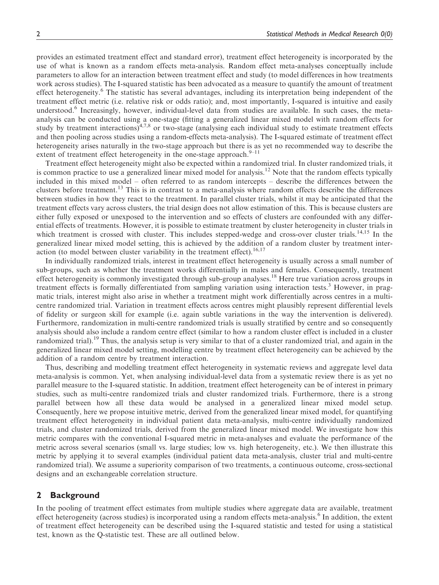provides an estimated treatment effect and standard error), treatment effect heterogeneity is incorporated by the use of what is known as a random effects meta-analysis. Random effect meta-analyses conceptually include parameters to allow for an interaction between treatment effect and study (to model differences in how treatments work across studies). The I-squared statistic has been advocated as a measure to quantify the amount of treatment effect heterogeneity.<sup>6</sup> The statistic has several advantages, including its interpretation being independent of the treatment effect metric (i.e. relative risk or odds ratio); and, most importantly, I-squared is intuitive and easily understood.6 Increasingly, however, individual-level data from studies are available. In such cases, the metaanalysis can be conducted using a one-stage (fitting a generalized linear mixed model with random effects for study by treatment interactions)<sup>4,7,8</sup> or two-stage (analysing each individual study to estimate treatment effects and then pooling across studies using a random-effects meta-analysis). The I-squared estimate of treatment effect heterogeneity arises naturally in the two-stage approach but there is as yet no recommended way to describe the extent of treatment effect heterogeneity in the one-stage approach. $9-11$ 

Treatment effect heterogeneity might also be expected within a randomized trial. In cluster randomized trials, it is common practice to use a generalized linear mixed model for analysis.<sup>12</sup> Note that the random effects typically included in this mixed model – often referred to as random intercepts – describe the differences between the clusters before treatment.<sup>13</sup> This is in contrast to a meta-analysis where random effects describe the differences between studies in how they react to the treatment. In parallel cluster trials, whilst it may be anticipated that the treatment effects vary across clusters, the trial design does not allow estimation of this. This is because clusters are either fully exposed or unexposed to the intervention and so effects of clusters are confounded with any differential effects of treatments. However, it is possible to estimate treatment by cluster heterogeneity in cluster trials in which treatment is crossed with cluster. This includes stepped-wedge and cross-over cluster trials.<sup>14,15</sup> In the generalized linear mixed model setting, this is achieved by the addition of a random cluster by treatment interaction (to model between cluster variability in the treatment effect).<sup>16,17</sup>

In individually randomized trials, interest in treatment effect heterogeneity is usually across a small number of sub-groups, such as whether the treatment works differentially in males and females. Consequently, treatment effect heterogeneity is commonly investigated through sub-group analyses.<sup>18</sup> Here true variation across groups in treatment effects is formally differentiated from sampling variation using interaction tests.<sup>3</sup> However, in pragmatic trials, interest might also arise in whether a treatment might work differentially across centres in a multicentre randomized trial. Variation in treatment effects across centres might plausibly represent differential levels of fidelity or surgeon skill for example (i.e. again subtle variations in the way the intervention is delivered). Furthermore, randomization in multi-centre randomized trials is usually stratified by centre and so consequently analysis should also include a random centre effect (similar to how a random cluster effect is included in a cluster randomized trial).<sup>19</sup> Thus, the analysis setup is very similar to that of a cluster randomized trial, and again in the generalized linear mixed model setting, modelling centre by treatment effect heterogeneity can be achieved by the addition of a random centre by treatment interaction.

Thus, describing and modelling treatment effect heterogeneity in systematic reviews and aggregate level data meta-analysis is common. Yet, when analysing individual-level data from a systematic review there is as yet no parallel measure to the I-squared statistic. In addition, treatment effect heterogeneity can be of interest in primary studies, such as multi-centre randomized trials and cluster randomized trials. Furthermore, there is a strong parallel between how all these data would be analysed in a generalized linear mixed model setup. Consequently, here we propose intuitive metric, derived from the generalized linear mixed model, for quantifying treatment effect heterogeneity in individual patient data meta-analysis, multi-centre individually randomized trials, and cluster randomized trials, derived from the generalized linear mixed model. We investigate how this metric compares with the conventional I-squared metric in meta-analyses and evaluate the performance of the metric across several scenarios (small vs. large studies; low vs. high heterogeneity, etc.). We then illustrate this metric by applying it to several examples (individual patient data meta-analysis, cluster trial and multi-centre randomized trial). We assume a superiority comparison of two treatments, a continuous outcome, cross-sectional designs and an exchangeable correlation structure.

#### 2 Background

In the pooling of treatment effect estimates from multiple studies where aggregate data are available, treatment effect heterogeneity (across studies) is incorporated using a random effects meta-analysis.<sup>6</sup> In addition, the extent of treatment effect heterogeneity can be described using the I-squared statistic and tested for using a statistical test, known as the Q-statistic test. These are all outlined below.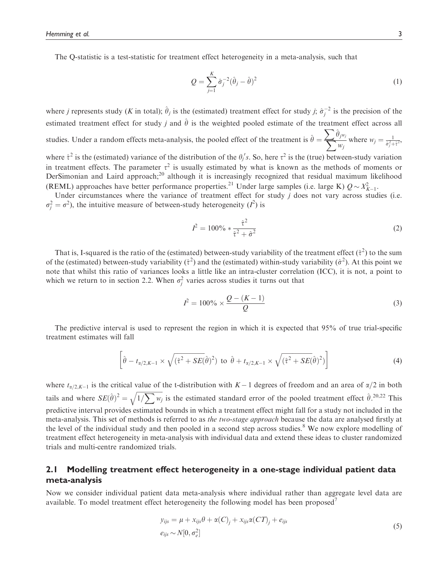The Q-statistic is a test-statistic for treatment effect heterogeneity in a meta-analysis, such that

$$
Q = \sum_{j=1}^{K} \hat{\sigma}_j^{-2} (\hat{\theta}_j - \hat{\theta})^2
$$
 (1)

where *j* represents study (*K* in total);  $\hat{\theta}_j$  is the (estimated) treatment effect for study *j*;  $\hat{\sigma}_j^{-2}$  is the precision of the estimated treatment effect for study j and  $\hat{\theta}$  is the weighted pooled estimate of the treatment effect across all studies. Under a random effects meta-analysis, the pooled effect of the treatment is  $\hat{\theta} = \sum_{n=1}^{\infty} \hat{\theta}$  $\sum$  $\theta_{j^w_j}$  $\frac{y_j}{w_j}$  where  $w_j = \frac{1}{\hat{\sigma}_j^2 + \hat{\tau}^2}$ , where  $\hat{\tau}^2$  is the (estimated) variance of the distribution of the  $\theta_j$ 's. So, here  $\tau^2$  is the (true) between-study variation in treatment effects. The parameter  $\tau^2$  is usually estimated by what is known as the methods of moments or DerSimonian and Laird approach;<sup>20</sup> although it is increasingly recognized that residual maximum likelihood

(REML) approaches have better performance properties.<sup>21</sup> Under large samples (i.e. large K)  $Q \sim X_{K-1}^2$ Under circumstances where the variance of treatment effect for study  $j$  does not vary across studies (i.e.  $\sigma_j^2 = \sigma^2$ ), the intuitive measure of between-study heterogeneity ( $I^2$ ) is

$$
I^2 = 100\% * \frac{\hat{\tau}^2}{\hat{\tau}^2 + \hat{\sigma}^2}
$$
 (2)

That is, I-squared is the ratio of the (estimated) between-study variability of the treatment effect  $(\hat{\tau}^2)$  to the sum of the (estimated) between-study variability ( $\hat{\tau}^2$ ) and the (estimated) within-study variability ( $\hat{\sigma}^2$ ). At this point we note that whilst this ratio of variances looks a little like an intra-cluster correlation (ICC), it is not, a point to which we return to in section 2.2. When  $\sigma_j^2$  varies across studies it turns out that

$$
I^2 = 100\% \times \frac{Q - (K - 1)}{Q} \tag{3}
$$

The predictive interval is used to represent the region in which it is expected that 95% of true trial-specific treatment estimates will fall

$$
\left[\hat{\theta} - t_{\alpha/2, K-1} \times \sqrt{(\hat{\tau}^2 + SE(\hat{\theta})^2)} \text{ to } \hat{\theta} + t_{\alpha/2, K-1} \times \sqrt{(\hat{\tau}^2 + SE(\hat{\theta})^2)}\right]
$$
(4)

where  $t_{\alpha/2,K-1}$  is the critical value of the t-distribution with  $K-1$  degrees of freedom and an area of  $\alpha/2$  in both tails and where  $SE(\hat{\theta})^2 = \sqrt{1/\sum w_j}$  is the estimated standard error of the pooled treatment effect  $\hat{\theta}$ .<sup>20,22</sup> This predictive interval provides estimated bounds in which a treatment effect might fall for a study not included in the meta-analysis. This set of methods is referred to as the two-stage approach because the data are analysed firstly at the level of the individual study and then pooled in a second step across studies.<sup>8</sup> We now explore modelling of treatment effect heterogeneity in meta-analysis with individual data and extend these ideas to cluster randomized trials and multi-centre randomized trials.

# 2.1 Modelling treatment effect heterogeneity in a one-stage individual patient data meta-analysis

Now we consider individual patient data meta-analysis where individual rather than aggregate level data are available. To model treatment effect heterogeneity the following model has been proposed<sup>7</sup>

$$
y_{ijs} = \mu + x_{ijs}\theta + \alpha(C)_j + x_{ijs}\alpha(CT)_j + e_{ijs}
$$
  
\n
$$
e_{ijs} \sim N[0, \sigma_e^2]
$$
\n(5)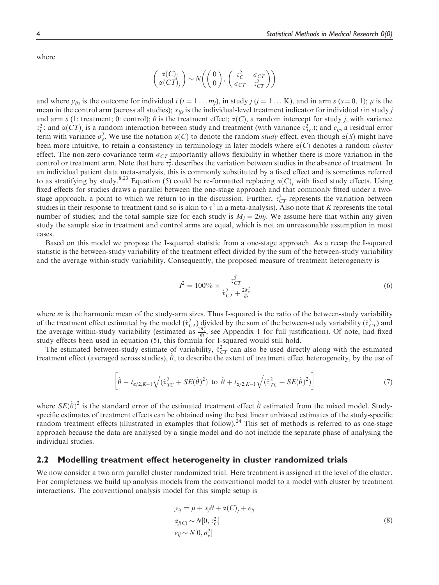where

$$
\begin{pmatrix} \alpha(C)_j \\ \alpha(CT)_j \end{pmatrix} \sim N \begin{pmatrix} 0 \\ 0 \end{pmatrix}, \begin{pmatrix} \tau_C^2 & \sigma_{CT} \\ \sigma_{CT} & \tau_{CT}^2 \end{pmatrix}
$$

and where  $y_{ijs}$  is the outcome for individual  $i$  ( $i = 1...m_j$ ), in study  $j$  ( $j = 1...K$ ), and in arm s ( $s = 0, 1$ );  $\mu$  is the mean in the control arm (across all studies);  $x_{ijs}$  is the individual-level treatment indicator for individual i in study j and arm s (1: treatment; 0: control);  $\theta$  is the treatment effect;  $\alpha(C)_i$  a random intercept for study j, with variance  $\tau_C^2$ ; and  $\alpha (CT)$  is a random interaction between study and treatment (with variance  $\tau_{TC}^2$ ); and  $e_{ijs}$  a residual error term with variance  $\sigma_e^2$ . We use the notation  $\alpha(C)$  to denote the random *study* effect, even though  $\alpha(S)$  might have been more intuitive, to retain a consistency in terminology in later models where  $\alpha(C)$  denotes a random *cluster* effect. The non-zero covariance term  $\sigma_{CT}$  importantly allows flexibility in whether there is more variation in the control or treatment arm. Note that here  $\tau_C^2$  describes the variation between studies in the absence of treatment. In an individual patient data meta-analysis, this is commonly substituted by a fixed effect and is sometimes referred to as stratifying by study.<sup>8,23</sup> Equation (5) could be re-formatted replacing  $\alpha(C)$ , with fixed study effects. Using fixed effects for studies draws a parallel between the one-stage approach and that commonly fitted under a twostage approach, a point to which we return to in the discussion. Further,  $\tau_{CT}^2$  represents the variation between studies in their response to treatment (and so is akin to  $\tau^2$  in a meta-analysis). Also note that K represents the total number of studies; and the total sample size for each study is  $M_i = 2m_i$ . We assume here that within any given study the sample size in treatment and control arms are equal, which is not an unreasonable assumption in most cases.

Based on this model we propose the I-squared statistic from a one-stage approach. As a recap the I-squared statistic is the between-study variability of the treatment effect divided by the sum of the between-study variability and the average within-study variability. Consequently, the proposed measure of treatment heterogeneity is

$$
I^2 = 100\% \times \frac{\tau_{CT}^2}{\hat{\tau}_{CT}^2 + \frac{2\hat{\sigma}_e^2}{\bar{m}}}
$$
(6)

where  $\bar{m}$  is the harmonic mean of the study-arm sizes. Thus I-squared is the ratio of the between-study variability of the treatment effect estimated by the model  $(\hat{\tau}_{CT}^2)$  divided by the sum of the between-study variability  $(\hat{\tau}_{CT}^2)$  and the average within-study variability (estimated as  $\frac{2\hat{\sigma}_{\epsilon}^2}{m}$ , see Appendix 1 for f study effects been used in equation (5), this formula for I-squared would still hold.

The estimated between-study estimate of variability,  $\hat{\tau}_{CT}^2$  can also be used directly along with the estimated treatment effect (averaged across studies),  $\hat{\theta}$ , to describe the extent of treatment effect heterogeneity, by the use of

$$
\left[\hat{\theta} - t_{\alpha/2, K-1} \sqrt{(\hat{\tau}_{TC}^2 + SE(\hat{\theta})^2)} \text{ to } \hat{\theta} + t_{\alpha/2, K-1} \sqrt{(\hat{\tau}_{TC}^2 + SE(\hat{\theta})^2)}\right]
$$
(7)

where  $SE(\hat{\theta})^2$  is the standard error of the estimated treatment effect  $\hat{\theta}$  estimated from the mixed model. Studyspecific estimates of treatment effects can be obtained using the best linear unbiased estimates of the study-specific random treatment effects (illustrated in examples that follow).<sup>24</sup> This set of methods is referred to as one-stage approach because the data are analysed by a single model and do not include the separate phase of analysing the individual studies.

### 2.2 Modelling treatment effect heterogeneity in cluster randomized trials

We now consider a two arm parallel cluster randomized trial. Here treatment is assigned at the level of the cluster. For completeness we build up analysis models from the conventional model to a model with cluster by treatment interactions. The conventional analysis model for this simple setup is

$$
y_{ij} = \mu + x_j \theta + \alpha(C)_j + e_{ij}
$$
  
\n
$$
\alpha_{j(C)} \sim N[0, \tau_C^2]
$$
  
\n
$$
e_{ij} \sim N[0, \sigma_e^2]
$$
\n(8)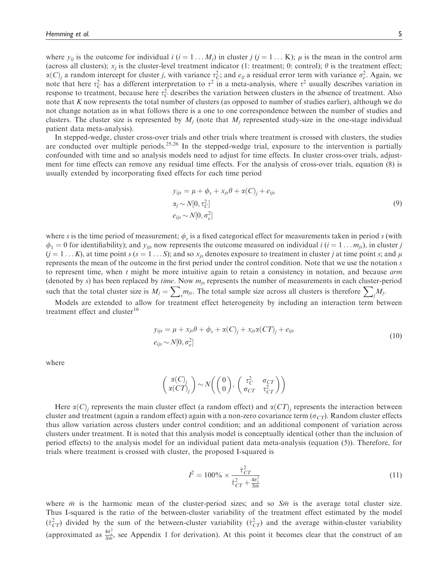where  $y_{ij}$  is the outcome for individual  $i$  ( $i = 1...M_j$ ) in cluster  $j$  ( $j = 1...K$ );  $\mu$  is the mean in the control arm (across all clusters);  $x_i$  is the cluster-level treatment indicator (1: treatment; 0: control);  $\theta$  is the treatment effect;  $\alpha(C)_j$  a random intercept for cluster j, with variance  $\tau_C^2$ ; and  $e_{ij}$  a residual error term with variance  $\sigma_e^2$ . Again, we note that here  $\tau_C^2$  has a different interpretation to  $\tau^2$  in a meta-analysis, where  $\tau^2$  usually describes variation in response to treatment, because here  $\tau_C^2$  describes the variation between clusters in the absence of treatment. Also note that K now represents the total number of clusters (as opposed to number of studies earlier), although we do not change notation as in what follows there is a one to one correspondence between the number of studies and clusters. The cluster size is represented by  $M_i$  (note that  $M_i$  represented study-size in the one-stage individual patient data meta-analysis).

In stepped-wedge, cluster cross-over trials and other trials where treatment is crossed with clusters, the studies are conducted over multiple periods.<sup>25,26</sup> In the stepped-wedge trial, exposure to the intervention is partially confounded with time and so analysis models need to adjust for time effects. In cluster cross-over trials, adjustment for time effects can remove any residual time effects. For the analysis of cross-over trials, equation (8) is usually extended by incorporating fixed effects for each time period

$$
y_{ijs} = \mu + \phi_s + x_{js}\theta + \alpha(C)_j + e_{ijs}
$$
  
\n
$$
\alpha_j \sim N[0, \tau_C^2]
$$
  
\n
$$
e_{ijs} \sim N[0, \sigma_e^2]
$$
\n(9)

where s is the time period of measurement;  $\phi_s$  is a fixed categorical effect for measurements taken in period s (with  $\phi_1 = 0$  for identifiability); and  $y_{iis}$  now represents the outcome measured on individual  $i$  ( $i = 1 \dots m_{is}$ ), in cluster j  $(j = 1... K)$ , at time point s  $(s = 1... S)$ ; and so  $x_{js}$  denotes exposure to treatment in cluster j at time point s; and  $\mu$ represents the mean of the outcome in the first period under the control condition. Note that we use the notation s to represent time, when  $t$  might be more intuitive again to retain a consistency in notation, and because  $arm$ (denoted by s) has been replaced by *time*. Now  $m_{is}$  represents the number of measurements in each cluster-period such that the total cluster size is  $M_j = \sum_s m_{js}$ . The total sample size across all clusters is therefore  $\sum_j M_j$ .

Models are extended to allow for treatment effect heterogeneity by including an interaction term between treatment effect and cluster<sup>16</sup>

$$
y_{ijs} = \mu + x_{js}\theta + \phi_s + \alpha(C)_j + x_{js}\alpha(CT)_j + e_{ijs}
$$
  
\n
$$
e_{ijs} \sim N[0, \sigma_e^2]
$$
\n(10)

where

$$
\begin{pmatrix} \alpha(C)_j \\ \alpha(CT)_j \end{pmatrix} \sim N \begin{pmatrix} 0 \\ 0 \end{pmatrix}, \begin{pmatrix} \tau_C^2 & \sigma_{CT} \\ \sigma_{CT} & \tau_{CT}^2 \end{pmatrix}
$$

Here  $\alpha(C)$  represents the main cluster effect (a random effect) and  $\alpha(CT)$  represents the interaction between cluster and treatment (again a random effect) again with a non-zero covariance term ( $\sigma_{CT}$ ). Random cluster effects thus allow variation across clusters under control condition; and an additional component of variation across clusters under treatment. It is noted that this analysis model is conceptually identical (other than the inclusion of period effects) to the analysis model for an individual patient data meta-analysis (equation (5)). Therefore, for trials where treatment is crossed with cluster, the proposed I-squared is

$$
I^{2} = 100\% \times \frac{\hat{\tau}_{CT}^{2}}{\hat{\tau}_{CT}^{2} + \frac{4\hat{\sigma}_{e}^{2}}{S\bar{m}}}
$$
(11)

where  $\bar{m}$  is the harmonic mean of the cluster-period sizes; and so  $S\bar{m}$  is the average total cluster size. Thus I-squared is the ratio of the between-cluster variability of the treatment effect estimated by the model  $(\hat{\tau}_{CT}^2)$  divided by the sum of the between-cluster variability  $(\hat{\tau}_{CT}^2)$  and the average within-cluster variability (approximated as  $\frac{4\hat{\sigma}_{e}^{2}}{5m}$ , see Appendix 1 for derivation). At this point it becomes clear that the construct of an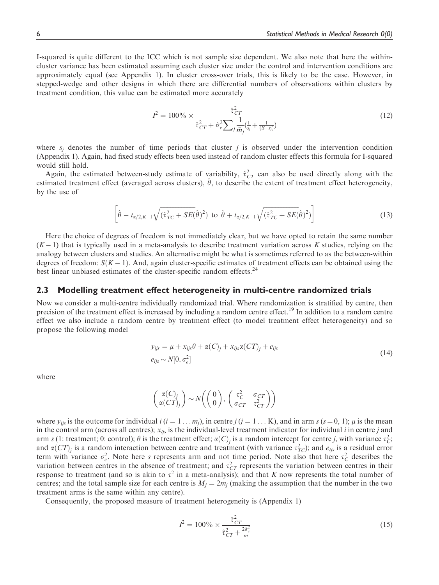I-squared is quite different to the ICC which is not sample size dependent. We also note that here the withincluster variance has been estimated assuming each cluster size under the control and intervention conditions are approximately equal (see Appendix 1). In cluster cross-over trials, this is likely to be the case. However, in stepped-wedge and other designs in which there are differential numbers of observations within clusters by treatment condition, this value can be estimated more accurately

$$
I^{2} = 100\% \times \frac{\hat{\tau}_{CT}^{2}}{\hat{\tau}_{CT}^{2} + \hat{\sigma}_{e}^{2} \sum_{j} \frac{1}{\bar{m}_{j}} (\frac{1}{s_{j}} + \frac{1}{(S - s_{j})})}
$$
(12)

where  $s_i$  denotes the number of time periods that cluster *j* is observed under the intervention condition (Appendix 1). Again, had fixed study effects been used instead of random cluster effects this formula for I-squared would still hold.

Again, the estimated between-study estimate of variability,  $\hat{\tau}_{CT}^2$  can also be used directly along with the estimated treatment effect (averaged across clusters),  $\hat{\theta}$ , to describe the extent of treatment effect heterogeneity, by the use of

$$
\left[\hat{\theta} - t_{\alpha/2, K-1} \sqrt{(\hat{\tau}_{TC}^2 + SE(\hat{\theta})^2)} \text{ to } \hat{\theta} + t_{\alpha/2, K-1} \sqrt{(\hat{\tau}_{TC}^2 + SE(\hat{\theta})^2)}\right]
$$
(13)

Here the choice of degrees of freedom is not immediately clear, but we have opted to retain the same number  $(K-1)$  that is typically used in a meta-analysis to describe treatment variation across K studies, relying on the analogy between clusters and studies. An alternative might be what is sometimes referred to as the between-within degrees of freedom:  $S(K-1)$ . And, again cluster-specific estimates of treatment effects can be obtained using the best linear unbiased estimates of the cluster-specific random effects.<sup>24</sup>

#### 2.3 Modelling treatment effect heterogeneity in multi-centre randomized trials

Now we consider a multi-centre individually randomized trial. Where randomization is stratified by centre, then precision of the treatment effect is increased by including a random centre effect.<sup>19</sup> In addition to a random centre effect we also include a random centre by treatment effect (to model treatment effect heterogeneity) and so propose the following model

$$
y_{ijs} = \mu + x_{ijs}\theta + \alpha(C)_j + x_{ijs}\alpha(CT)_j + e_{ijs}
$$
  
\n
$$
e_{ijs} \sim N[0, \sigma_e^2]
$$
\n(14)

where

$$
\begin{pmatrix} \alpha(C)_j \\ \alpha(CT)_j \end{pmatrix} \sim N \begin{pmatrix} 0 \\ 0 \end{pmatrix}, \begin{pmatrix} \tau_C^2 & \sigma_{CT} \\ \sigma_{CT} & \tau_{CT}^2 \end{pmatrix}
$$

where  $y_{ijs}$  is the outcome for individual  $i$  ( $i = 1...m_j$ ), in centre  $j$  ( $j = 1...K$ ), and in arm  $s$  ( $s = 0, 1$ );  $\mu$  is the mean in the control arm (across all centres);  $x_{ijs}$  is the individual-level treatment indicator for individual i in centre j and arm s (1: treatment; 0: control);  $\theta$  is the treatment effect;  $\alpha(C)_j$  is a random intercept for centre j, with variance  $\tau_C^2$ ; and  $\alpha(CT)_j$  is a random interaction between centre and treatment (with variance  $\tau_{TC}^2$ ); and  $e_{ijs}$  is a residual error term with variance  $\sigma_e^2$ . Note here s represents arm and not time period. Note also that here  $\tau_C^2$  describes the variation between centres in the absence of treatment; and  $\tau_{CT}^2$  represents the variation between centres in their response to treatment (and so is akin to  $\tau^2$  in a meta-analysis); and that K now represents the total number of centres; and the total sample size for each centre is  $M_j = 2m_j$  (making the assumption that the number in the two treatment arms is the same within any centre).

Consequently, the proposed measure of treatment heterogeneity is (Appendix 1)

$$
I^2 = 100\% \times \frac{\hat{\tau}_{CT}^2}{\hat{\tau}_{CT}^2 + \frac{2\hat{\sigma}_e^2}{\bar{m}}}
$$
(15)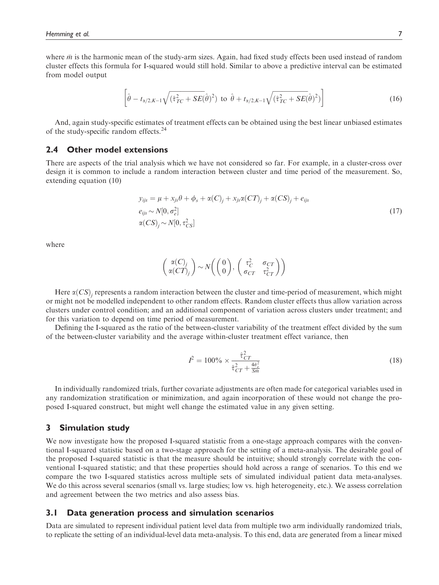where  $\bar{m}$  is the harmonic mean of the study-arm sizes. Again, had fixed study effects been used instead of random cluster effects this formula for I-squared would still hold. Similar to above a predictive interval can be estimated from model output

$$
\left[\hat{\theta} - t_{\alpha/2, K-1} \sqrt{(\hat{\tau}_{TC}^2 + SE(\hat{\theta})^2)} \text{ to } \hat{\theta} + t_{\alpha/2, K-1} \sqrt{(\hat{\tau}_{TC}^2 + SE(\hat{\theta})^2)}\right]
$$
(16)

And, again study-specific estimates of treatment effects can be obtained using the best linear unbiased estimates of the study-specific random effects.<sup>24</sup>

# 2.4 Other model extensions

There are aspects of the trial analysis which we have not considered so far. For example, in a cluster-cross over design it is common to include a random interaction between cluster and time period of the measurement. So, extending equation (10)

$$
y_{ijs} = \mu + x_{js}\theta + \phi_s + \alpha(C)_j + x_{js}\alpha(CT)_j + \alpha(CS)_j + e_{ijs}
$$
  
\n
$$
e_{ijs} \sim N[0, \sigma_e^2]
$$
  
\n
$$
\alpha(CS)_j \sim N[0, \tau_{CS}^2]
$$
\n(17)

where

$$
\begin{pmatrix} \alpha(C)_j \\ \alpha(CT)_j \end{pmatrix} \sim N \begin{pmatrix} 0 \\ 0 \end{pmatrix}, \begin{pmatrix} \tau_C^2 & \sigma_{CT} \\ \sigma_{CT} & \tau_{CT}^2 \end{pmatrix}
$$

Here  $\alpha(CS)$ , represents a random interaction between the cluster and time-period of measurement, which might or might not be modelled independent to other random effects. Random cluster effects thus allow variation across clusters under control condition; and an additional component of variation across clusters under treatment; and for this variation to depend on time period of measurement.

Defining the I-squared as the ratio of the between-cluster variability of the treatment effect divided by the sum of the between-cluster variability and the average within-cluster treatment effect variance, then

$$
I^{2} = 100\% \times \frac{\hat{\tau}_{CT}^{2}}{\hat{\tau}_{CT}^{2} + \frac{4\hat{\sigma}_{e}^{2}}{S\bar{m}}}
$$
(18)

In individually randomized trials, further covariate adjustments are often made for categorical variables used in any randomization stratification or minimization, and again incorporation of these would not change the proposed I-squared construct, but might well change the estimated value in any given setting.

#### 3 Simulation study

We now investigate how the proposed I-squared statistic from a one-stage approach compares with the conventional I-squared statistic based on a two-stage approach for the setting of a meta-analysis. The desirable goal of the proposed I-squared statistic is that the measure should be intuitive; should strongly correlate with the conventional I-squared statistic; and that these properties should hold across a range of scenarios. To this end we compare the two I-squared statistics across multiple sets of simulated individual patient data meta-analyses. We do this across several scenarios (small vs. large studies; low vs. high heterogeneity, etc.). We assess correlation and agreement between the two metrics and also assess bias.

# 3.1 Data generation process and simulation scenarios

Data are simulated to represent individual patient level data from multiple two arm individually randomized trials, to replicate the setting of an individual-level data meta-analysis. To this end, data are generated from a linear mixed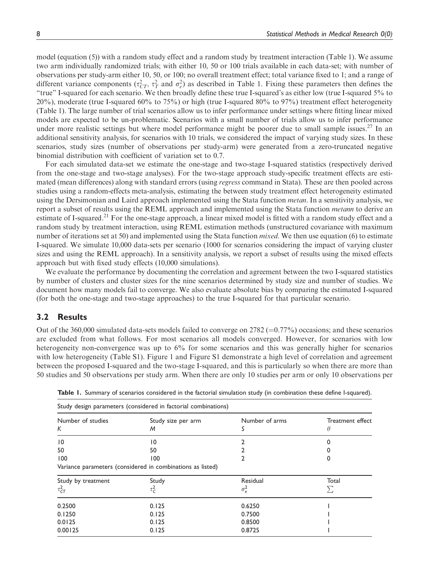model (equation (5)) with a random study effect and a random study by treatment interaction (Table 1). We assume two arm individually randomized trials; with either 10, 50 or 100 trials available in each data-set; with number of observations per study-arm either 10, 50, or 100; no overall treatment effect; total variance fixed to 1; and a range of different variance components ( $\tau_{CT}^2$ ,  $\tau_T^2$  and  $\sigma_e^2$ ) as described in Table 1. Fixing these parameters then defines the "true" I-squared for each scenario. We then broadly define these true I-squared's as either low (true I-squared 5% to 20%), moderate (true I-squared 60% to 75%) or high (true I-squared 80% to 97%) treatment effect heterogeneity (Table 1). The large number of trial scenarios allow us to infer performance under settings where fitting linear mixed models are expected to be un-problematic. Scenarios with a small number of trials allow us to infer performance under more realistic settings but where model performance might be poorer due to small sample issues.<sup>27</sup> In an additional sensitivity analysis, for scenarios with 10 trials, we considered the impact of varying study sizes. In these scenarios, study sizes (number of observations per study-arm) were generated from a zero-truncated negative binomial distribution with coefficient of variation set to 0.7.

For each simulated data-set we estimate the one-stage and two-stage I-squared statistics (respectively derived from the one-stage and two-stage analyses). For the two-stage approach study-specific treatment effects are estimated (mean differences) along with standard errors (using *regress* command in Stata). These are then pooled across studies using a random-effects meta-analysis, estimating the between study treatment effect heterogeneity estimated using the Dersimonian and Laird approach implemented using the Stata function *metan*. In a sensitivity analysis, we report a subset of results using the REML approach and implemented using the Stata function *metann* to derive an estimate of I-squared.<sup>21</sup> For the one-stage approach, a linear mixed model is fitted with a random study effect and a random study by treatment interaction, using REML estimation methods (unstructured covariance with maximum number of iterations set at 50) and implemented using the Stata function *mixed*. We then use equation (6) to estimate I-squared. We simulate 10,000 data-sets per scenario (1000 for scenarios considering the impact of varying cluster sizes and using the REML approach). In a sensitivity analysis, we report a subset of results using the mixed effects approach but with fixed study effects (10,000 simulations).

We evaluate the performance by documenting the correlation and agreement between the two I-squared statistics by number of clusters and cluster sizes for the nine scenarios determined by study size and number of studies. We document how many models fail to converge. We also evaluate absolute bias by comparing the estimated I-squared (for both the one-stage and two-stage approaches) to the true I-squared for that particular scenario.

# 3.2 Results

Out of the 360,000 simulated data-sets models failed to converge on 2782 (=0.77%) occasions; and these scenarios are excluded from what follows. For most scenarios all models converged. However, for scenarios with low heterogeneity non-convergence was up to 6% for some scenarios and this was generally higher for scenarios with low heterogeneity (Table S1). Figure 1 and Figure S1 demonstrate a high level of correlation and agreement between the proposed I-squared and the two-stage I-squared, and this is particularly so when there are more than 50 studies and 50 observations per study arm. When there are only 10 studies per arm or only 10 observations per

| Study design parameters (considered in factorial combinations) |                                                            |                     |                              |
|----------------------------------------------------------------|------------------------------------------------------------|---------------------|------------------------------|
| Number of studies<br>К                                         | Study size per arm<br>M                                    | Number of arms<br>S | Treatment effect<br>$\theta$ |
| 10                                                             | $\overline{10}$                                            |                     |                              |
| 50                                                             | 50                                                         |                     |                              |
| 100                                                            | 100                                                        |                     | 0                            |
|                                                                | Variance parameters (considered in combinations as listed) |                     |                              |
| Study by treatment                                             | Study                                                      | Residual            | Total                        |
| $\tau_{CT}^2$                                                  | $\tau_{\rm C}^2$                                           | $\sigma_e^2$        |                              |
| 0.2500                                                         | 0.125                                                      | 0.6250              |                              |
| 0.1250                                                         | 0.125                                                      | 0.7500              |                              |
| 0.0125                                                         | 0.125                                                      | 0.8500              |                              |
| 0.00125                                                        | 0.125                                                      | 0.8725              |                              |

Table 1. Summary of scenarios considered in the factorial simulation study (in combination these define I-squared).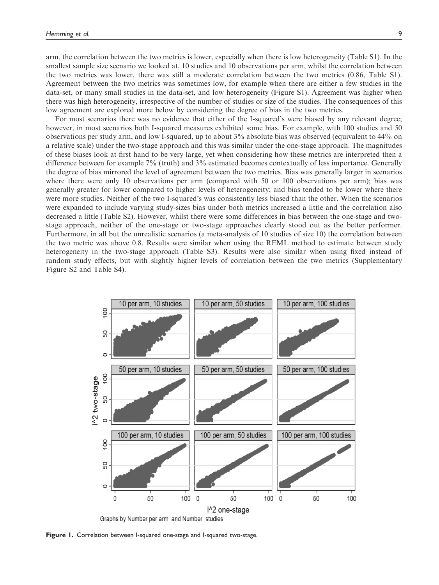arm, the correlation between the two metrics is lower, especially when there is low heterogeneity (Table S1). In the smallest sample size scenario we looked at, 10 studies and 10 observations per arm, whilst the correlation between the two metrics was lower, there was still a moderate correlation between the two metrics (0.86, Table S1). Agreement between the two metrics was sometimes low, for example when there are either a few studies in the data-set, or many small studies in the data-set, and low heterogeneity (Figure S1). Agreement was higher when there was high heterogeneity, irrespective of the number of studies or size of the studies. The consequences of this low agreement are explored more below by considering the degree of bias in the two metrics.

For most scenarios there was no evidence that either of the I-squared's were biased by any relevant degree; however, in most scenarios both I-squared measures exhibited some bias. For example, with 100 studies and 50 observations per study arm, and low I-squared, up to about 3% absolute bias was observed (equivalent to 44% on a relative scale) under the two-stage approach and this was similar under the one-stage approach. The magnitudes of these biases look at first hand to be very large, yet when considering how these metrics are interpreted then a difference between for example 7% (truth) and 3% estimated becomes contextually of less importance. Generally the degree of bias mirrored the level of agreement between the two metrics. Bias was generally larger in scenarios where there were only 10 observations per arm (compared with 50 or 100 observations per arm); bias was generally greater for lower compared to higher levels of heterogeneity; and bias tended to be lower where there were more studies. Neither of the two I-squared's was consistently less biased than the other. When the scenarios were expanded to include varying study-sizes bias under both metrics increased a little and the correlation also decreased a little (Table S2). However, whilst there were some differences in bias between the one-stage and twostage approach, neither of the one-stage or two-stage approaches clearly stood out as the better performer. Furthermore, in all but the unrealistic scenarios (a meta-analysis of 10 studies of size 10) the correlation between the two metric was above 0.8. Results were similar when using the REML method to estimate between study heterogeneity in the two-stage approach (Table S3). Results were also similar when using fixed instead of random study effects, but with slightly higher levels of correlation between the two metrics (Supplementary Figure S2 and Table S4).



Figure 1. Correlation between I-squared one-stage and I-squared two-stage.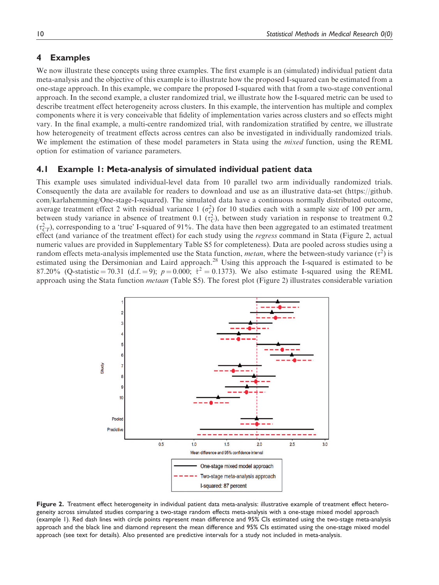# 4 Examples

We now illustrate these concepts using three examples. The first example is an (simulated) individual patient data meta-analysis and the objective of this example is to illustrate how the proposed I-squared can be estimated from a one-stage approach. In this example, we compare the proposed I-squared with that from a two-stage conventional approach. In the second example, a cluster randomized trial, we illustrate how the I-squared metric can be used to describe treatment effect heterogeneity across clusters. In this example, the intervention has multiple and complex components where it is very conceivable that fidelity of implementation varies across clusters and so effects might vary. In the final example, a multi-centre randomized trial, with randomization stratified by centre, we illustrate how heterogeneity of treatment effects across centres can also be investigated in individually randomized trials. We implement the estimation of these model parameters in Stata using the *mixed* function, using the REML option for estimation of variance parameters.

# 4.1 Example 1: Meta-analysis of simulated individual patient data

This example uses simulated individual-level data from 10 parallel two arm individually randomized trials. Consequently the data are available for readers to download and use as an illustrative data-set ([https://github.](https://github.com/karlahemming/One-stage-I-squared) [com/karlahemming/One-stage-I-squared\)](https://github.com/karlahemming/One-stage-I-squared). The simulated data have a continuous normally distributed outcome, average treatment effect 2 with residual variance 1 ( $\sigma_e^2$ ) for 10 studies each with a sample size of 100 per arm, between study variance in absence of treatment 0.1  $(\tau_C^2)$ , between study variation in response to treatment 0.2  $(\tau_{CT}^2)$ , corresponding to a 'true' I-squared of 91%. The data have then been aggregated to an estimated treatment effect (and variance of the treatment effect) for each study using the *regress* command in Stata (Figure 2, actual numeric values are provided in Supplementary Table S5 for completeness). Data are pooled across studies using a random effects meta-analysis implemented use the Stata function, *metan*, where the between-study variance  $(\tau^2)$  is estimated using the Dersimonian and Laird approach.<sup>28</sup> Using this approach the I-squared is estimated to be 87.20% (Q-statistic = 70.31 (d.f. = 9);  $p = 0.000$ ;  $\hat{\tau}^2 = 0.1373$ ). We also estimate I-squared using the REML approach using the Stata function *metaan* (Table S5). The forest plot (Figure 2) illustrates considerable variation



Figure 2. Treatment effect heterogeneity in individual patient data meta-analysis: illustrative example of treatment effect heterogeneity across simulated studies comparing a two-stage random effects meta-analysis with a one-stage mixed model approach (example 1). Red dash lines with circle points represent mean difference and 95% CIs estimated using the two-stage meta-analysis approach and the black line and diamond represent the mean difference and 95% CIs estimated using the one-stage mixed model approach (see text for details). Also presented are predictive intervals for a study not included in meta-analysis.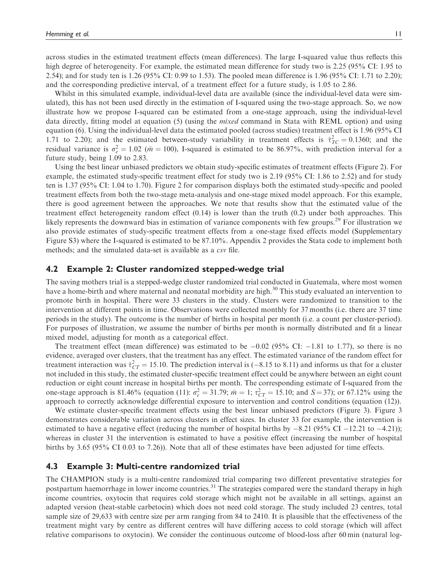across studies in the estimated treatment effects (mean differences). The large I-squared value thus reflects this high degree of heterogeneity. For example, the estimated mean difference for study two is 2.25 (95% CI: 1.95 to 2.54); and for study ten is 1.26 (95% CI: 0.99 to 1.53). The pooled mean difference is 1.96 (95% CI: 1.71 to 2.20); and the corresponding predictive interval, of a treatment effect for a future study, is 1.05 to 2.86.

Whilst in this simulated example, individual-level data are available (since the individual-level data were simulated), this has not been used directly in the estimation of I-squared using the two-stage approach. So, we now illustrate how we propose I-squared can be estimated from a one-stage approach, using the individual-level data directly, fitting model at equation (5) (using the *mixed* command in Stata with REML option) and using equation (6). Using the individual-level data the estimated pooled (across studies) treatment effect is 1.96 (95% CI 1.71 to 2.20); and the estimated between-study variability in treatment effects is  $\hat{\tau}_{TC}^2 = 0.1360$ ; and the residual variance is  $\sigma_e^2 = 1.02$  ( $\bar{m} = 100$ ), I-squared is estimated to be 86.97%, with prediction interval for a future study, being 1.09 to 2.83.

Using the best linear unbiased predictors we obtain study-specific estimates of treatment effects (Figure 2). For example, the estimated study-specific treatment effect for study two is 2.19 (95% CI: 1.86 to 2.52) and for study ten is 1.37 (95% CI: 1.04 to 1.70). Figure 2 for comparison displays both the estimated study-specific and pooled treatment effects from both the two-stage meta-analysis and one-stage mixed model approach. For this example, there is good agreement between the approaches. We note that results show that the estimated value of the treatment effect heterogeneity random effect (0.14) is lower than the truth (0.2) under both approaches. This likely represents the downward bias in estimation of variance components with few groups.<sup>29</sup> For illustration we also provide estimates of study-specific treatment effects from a one-stage fixed effects model (Supplementary Figure S3) where the I-squared is estimated to be 87.10%. Appendix 2 provides the Stata code to implement both methods; and the simulated data-set is available as a csv file.

# 4.2 Example 2: Cluster randomized stepped-wedge trial

The saving mothers trial is a stepped-wedge cluster randomized trial conducted in Guatemala, where most women have a home-birth and where maternal and neonatal morbidity are high.<sup>30</sup> This study evaluated an intervention to promote birth in hospital. There were 33 clusters in the study. Clusters were randomized to transition to the intervention at different points in time. Observations were collected monthly for 37 months (i.e. there are 37 time periods in the study). The outcome is the number of births in hospital per month (i.e. a count per cluster-period). For purposes of illustration, we assume the number of births per month is normally distributed and fit a linear mixed model, adjusting for month as a categorical effect.

The treatment effect (mean difference) was estimated to be  $-0.02$  (95% CI:  $-1.81$  to 1.77), so there is no evidence, averaged over clusters, that the treatment has any effect. The estimated variance of the random effect for treatment interaction was  $\hat{\tau}_{CT}^2 = 15.10$ . The prediction interval is (-8.15 to 8.11) and informs us that for a cluster not included in this study, the estimated cluster-specific treatment effect could be anywhere between an eight count reduction or eight count increase in hospital births per month. The corresponding estimate of I-squared from the one-stage approach is 81.46% (equation (11):  $\sigma_e^2 = 31.79$ ;  $\bar{m} = 1$ ;  $\tau_{CT}^2 = 15.10$ ; and  $S = 37$ ); or 67.12% using the approach to correctly acknowledge differential exposure to intervention and control conditions (equation (12)).

We estimate cluster-specific treatment effects using the best linear unbiased predictors (Figure 3). Figure 3 demonstrates considerable variation across clusters in effect sizes. In cluster 33 for example, the intervention is estimated to have a negative effect (reducing the number of hospital births by  $-8.21$  (95% CI  $-12.21$  to  $-4.21$ )); whereas in cluster 31 the intervention is estimated to have a positive effect (increasing the number of hospital births by 3.65 (95% CI 0.03 to 7.26)). Note that all of these estimates have been adjusted for time effects.

# 4.3 Example 3: Multi-centre randomized trial

The CHAMPION study is a multi-centre randomized trial comparing two different preventative strategies for postpartum haemorrhage in lower income countries.<sup>31</sup> The strategies compared were the standard therapy in high income countries, oxytocin that requires cold storage which might not be available in all settings, against an adapted version (heat-stable carbetocin) which does not need cold storage. The study included 23 centres, total sample size of 29,633 with centre size per arm ranging from 84 to 2410. It is plausible that the effectiveness of the treatment might vary by centre as different centres will have differing access to cold storage (which will affect relative comparisons to oxytocin). We consider the continuous outcome of blood-loss after 60 min (natural log-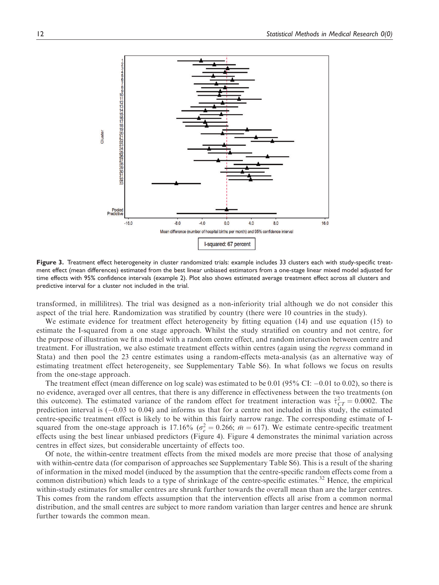

Figure 3. Treatment effect heterogeneity in cluster randomized trials: example includes 33 clusters each with study-specific treatment effect (mean differences) estimated from the best linear unbiased estimators from a one-stage linear mixed model adjusted for time effects with 95% confidence intervals (example 2). Plot also shows estimated average treatment effect across all clusters and predictive interval for a cluster not included in the trial.

transformed, in millilitres). The trial was designed as a non-inferiority trial although we do not consider this aspect of the trial here. Randomization was stratified by country (there were 10 countries in the study).

We estimate evidence for treatment effect heterogeneity by fitting equation (14) and use equation (15) to estimate the I-squared from a one stage approach. Whilst the study stratified on country and not centre, for the purpose of illustration we fit a model with a random centre effect, and random interaction between centre and treatment. For illustration, we also estimate treatment effects within centres (again using the regress command in Stata) and then pool the 23 centre estimates using a random-effects meta-analysis (as an alternative way of estimating treatment effect heterogeneity, see Supplementary Table S6). In what follows we focus on results from the one-stage approach.

The treatment effect (mean difference on log scale) was estimated to be  $0.01$  (95% CI:  $-0.01$  to 0.02), so there is no evidence, averaged over all centres, that there is any difference in effectiveness between the two treatments (on this outcome). The estimated variance of the random effect for treatment interaction was  $\hat{\tau}_{CT}^2 = 0.0002$ . The prediction interval is  $(-0.03 \text{ to } 0.04)$  and informs us that for a centre not included in this study, the estimated centre-specific treatment effect is likely to be within this fairly narrow range. The corresponding estimate of Isquared from the one-stage approach is 17.16% ( $\sigma_e^2 = 0.266$ ;  $\bar{m} = 617$ ). We estimate centre-specific treatment effects using the best linear unbiased predictors (Figure 4). Figure 4 demonstrates the minimal variation across centres in effect sizes, but considerable uncertainty of effects too.

Of note, the within-centre treatment effects from the mixed models are more precise that those of analysing with within-centre data (for comparison of approaches see Supplementary Table S6). This is a result of the sharing of information in the mixed model (induced by the assumption that the centre-specific random effects come from a common distribution) which leads to a type of shrinkage of the centre-specific estimates.<sup>32</sup> Hence, the empirical within-study estimates for smaller centres are shrunk further towards the overall mean than are the larger centres. This comes from the random effects assumption that the intervention effects all arise from a common normal distribution, and the small centres are subject to more random variation than larger centres and hence are shrunk further towards the common mean.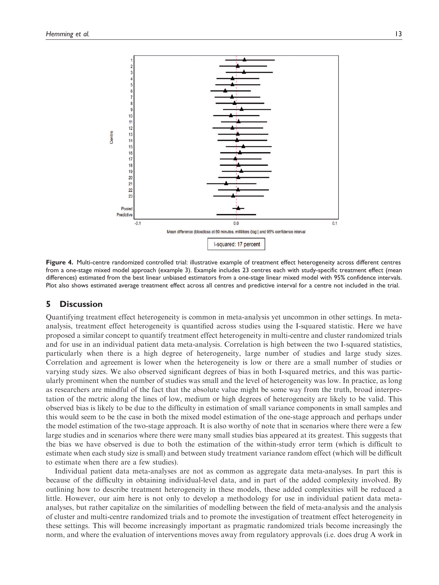

Figure 4. Multi-centre randomized controlled trial: illustrative example of treatment effect heterogeneity across different centres from a one-stage mixed model approach (example 3). Example includes 23 centres each with study-specific treatment effect (mean differences) estimated from the best linear unbiased estimators from a one-stage linear mixed model with 95% confidence intervals. Plot also shows estimated average treatment effect across all centres and predictive interval for a centre not included in the trial.

# 5 Discussion

Quantifying treatment effect heterogeneity is common in meta-analysis yet uncommon in other settings. In metaanalysis, treatment effect heterogeneity is quantified across studies using the I-squared statistic. Here we have proposed a similar concept to quantify treatment effect heterogeneity in multi-centre and cluster randomized trials and for use in an individual patient data meta-analysis. Correlation is high between the two I-squared statistics, particularly when there is a high degree of heterogeneity, large number of studies and large study sizes. Correlation and agreement is lower when the heterogeneity is low or there are a small number of studies or varying study sizes. We also observed significant degrees of bias in both I-squared metrics, and this was particularly prominent when the number of studies was small and the level of heterogeneity was low. In practice, as long as researchers are mindful of the fact that the absolute value might be some way from the truth, broad interpretation of the metric along the lines of low, medium or high degrees of heterogeneity are likely to be valid. This observed bias is likely to be due to the difficulty in estimation of small variance components in small samples and this would seem to be the case in both the mixed model estimation of the one-stage approach and perhaps under the model estimation of the two-stage approach. It is also worthy of note that in scenarios where there were a few large studies and in scenarios where there were many small studies bias appeared at its greatest. This suggests that the bias we have observed is due to both the estimation of the within-study error term (which is difficult to estimate when each study size is small) and between study treatment variance random effect (which will be difficult to estimate when there are a few studies).

Individual patient data meta-analyses are not as common as aggregate data meta-analyses. In part this is because of the difficulty in obtaining individual-level data, and in part of the added complexity involved. By outlining how to describe treatment heterogeneity in these models, these added complexities will be reduced a little. However, our aim here is not only to develop a methodology for use in individual patient data metaanalyses, but rather capitalize on the similarities of modelling between the field of meta-analysis and the analysis of cluster and multi-centre randomized trials and to promote the investigation of treatment effect heterogeneity in these settings. This will become increasingly important as pragmatic randomized trials become increasingly the norm, and where the evaluation of interventions moves away from regulatory approvals (i.e. does drug A work in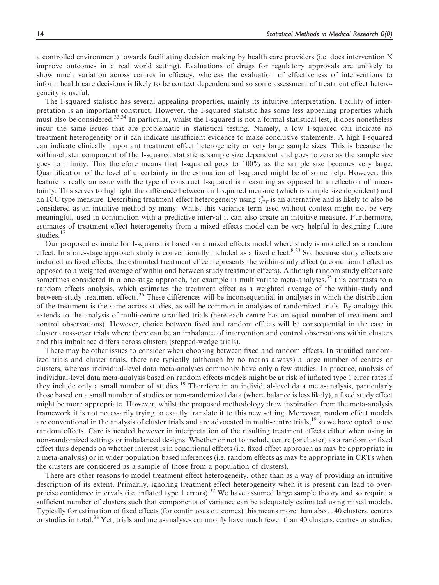a controlled environment) towards facilitating decision making by health care providers (i.e. does intervention X improve outcomes in a real world setting). Evaluations of drugs for regulatory approvals are unlikely to show much variation across centres in efficacy, whereas the evaluation of effectiveness of interventions to inform health care decisions is likely to be context dependent and so some assessment of treatment effect heterogeneity is useful.

The I-squared statistic has several appealing properties, mainly its intuitive interpretation. Facility of interpretation is an important construct. However, the I-squared statistic has some less appealing properties which must also be considered.<sup>33,34</sup> In particular, whilst the I-squared is not a formal statistical test, it does nonetheless incur the same issues that are problematic in statistical testing. Namely, a low I-squared can indicate no treatment heterogeneity or it can indicate insufficient evidence to make conclusive statements. A high I-squared can indicate clinically important treatment effect heterogeneity or very large sample sizes. This is because the within-cluster component of the I-squared statistic is sample size dependent and goes to zero as the sample size goes to infinity. This therefore means that I-squared goes to 100% as the sample size becomes very large. Quantification of the level of uncertainty in the estimation of I-squared might be of some help. However, this feature is really an issue with the type of construct I-squared is measuring as opposed to a reflection of uncertainty. This serves to highlight the difference between an I-squared measure (which is sample size dependent) and an ICC type measure. Describing treatment effect heterogeneity using  $\tau_{CT}^2$  is an alternative and is likely to also be considered as an intuitive method by many. Whilst this variance term used without context might not be very meaningful, used in conjunction with a predictive interval it can also create an intuitive measure. Furthermore, estimates of treatment effect heterogeneity from a mixed effects model can be very helpful in designing future studies.<sup>17</sup>

Our proposed estimate for I-squared is based on a mixed effects model where study is modelled as a random effect. In a one-stage approach study is conventionally included as a fixed effect.<sup>8,23</sup> So, because study effects are included as fixed effects, the estimated treatment effect represents the within-study effect (a conditional effect as opposed to a weighted average of within and between study treatment effects). Although random study effects are sometimes considered in a one-stage approach, for example in multivariate meta-analyses,<sup>35</sup> this contrasts to a random effects analysis, which estimates the treatment effect as a weighted average of the within-study and between-study treatment effects.<sup>36</sup> These differences will be inconsequential in analyses in which the distribution of the treatment is the same across studies, as will be common in analyses of randomized trials. By analogy this extends to the analysis of multi-centre stratified trials (here each centre has an equal number of treatment and control observations). However, choice between fixed and random effects will be consequential in the case in cluster cross-over trials where there can be an imbalance of intervention and control observations within clusters and this imbalance differs across clusters (stepped-wedge trials).

There may be other issues to consider when choosing between fixed and random effects. In stratified randomized trials and cluster trials, there are typically (although by no means always) a large number of centres or clusters, whereas individual-level data meta-analyses commonly have only a few studies. In practice, analysis of individual-level data meta-analysis based on random effects models might be at risk of inflated type 1 error rates if they include only a small number of studies.<sup>19</sup> Therefore in an individual-level data meta-analysis, particularly those based on a small number of studies or non-randomized data (where balance is less likely), a fixed study effect might be more appropriate. However, whilst the proposed methodology drew inspiration from the meta-analysis framework it is not necessarily trying to exactly translate it to this new setting. Moreover, random effect models are conventional in the analysis of cluster trials and are advocated in multi-centre trials, $19$  so we have opted to use random effects. Care is needed however in interpretation of the resulting treatment effects either when using in non-randomized settings or imbalanced designs. Whether or not to include centre (or cluster) as a random or fixed effect thus depends on whether interest is in conditional effects (i.e. fixed effect approach as may be appropriate in a meta-analysis) or in wider population based inferences (i.e. random effects as may be appropriate in CRTs when the clusters are considered as a sample of those from a population of clusters).

There are other reasons to model treatment effect heterogeneity, other than as a way of providing an intuitive description of its extent. Primarily, ignoring treatment effect heterogeneity when it is present can lead to overprecise confidence intervals (i.e. inflated type 1 errors).<sup>37</sup> We have assumed large sample theory and so require a sufficient number of clusters such that components of variance can be adequately estimated using mixed models. Typically for estimation of fixed effects (for continuous outcomes) this means more than about 40 clusters, centres or studies in total.<sup>38</sup> Yet, trials and meta-analyses commonly have much fewer than 40 clusters, centres or studies;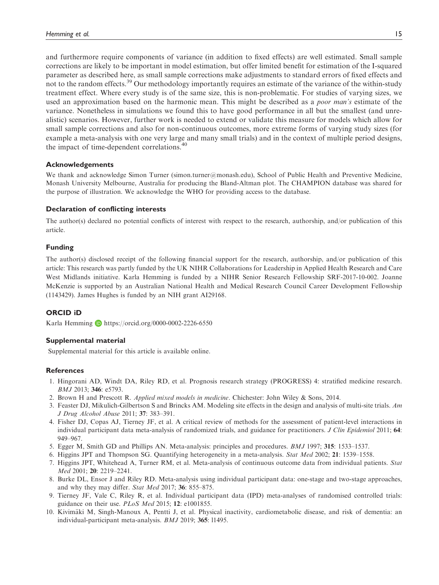and furthermore require components of variance (in addition to fixed effects) are well estimated. Small sample corrections are likely to be important in model estimation, but offer limited benefit for estimation of the I-squared parameter as described here, as small sample corrections make adjustments to standard errors of fixed effects and not to the random effects.<sup>39</sup> Our methodology importantly requires an estimate of the variance of the within-study treatment effect. Where every study is of the same size, this is non-problematic. For studies of varying sizes, we used an approximation based on the harmonic mean. This might be described as a *poor man's* estimate of the variance. Nonetheless in simulations we found this to have good performance in all but the smallest (and unrealistic) scenarios. However, further work is needed to extend or validate this measure for models which allow for small sample corrections and also for non-continuous outcomes, more extreme forms of varying study sizes (for example a meta-analysis with one very large and many small trials) and in the context of multiple period designs, the impact of time-dependent correlations.<sup>40</sup>

#### Acknowledgements

We thank and acknowledge Simon Turner ([simon.turner@monash.edu](mailto:simon.turner@monash.edu)), School of Public Health and Preventive Medicine, Monash University Melbourne, Australia for producing the Bland-Altman plot. The CHAMPION database was shared for the purpose of illustration. We acknowledge the WHO for providing access to the database.

#### Declaration of conflicting interests

The author(s) declared no potential conflicts of interest with respect to the research, authorship, and/or publication of this article.

#### Funding

The author(s) disclosed receipt of the following financial support for the research, authorship, and/or publication of this article: This research was partly funded by the UK NIHR Collaborations for Leadership in Applied Health Research and Care West Midlands initiative. Karla Hemming is funded by a NIHR Senior Research Fellowship SRF-2017-10-002. Joanne McKenzie is supported by an Australian National Health and Medical Research Council Career Development Fellowship (1143429). James Hughes is funded by an NIH grant AI29168.

#### ORCID iD

Karla Hemming **b** <https://orcid.org/0000-0002-2226-6550>

#### Supplemental material

Supplemental material for this article is available online.

#### **References**

- 1. Hingorani AD, Windt DA, Riley RD, et al. Prognosis research strategy (PROGRESS) 4: stratified medicine research. BMJ 2013; 346: e5793.
- 2. Brown H and Prescott R. Applied mixed models in medicine. Chichester: John Wiley & Sons, 2014.
- 3. Feaster DJ, Mikulich-Gilbertson S and Brincks AM. Modeling site effects in the design and analysis of multi-site trials. Am J Drug Alcohol Abuse 2011; 37: 383–391.
- 4. Fisher DJ, Copas AJ, Tierney JF, et al. A critical review of methods for the assessment of patient-level interactions in individual participant data meta-analysis of randomized trials, and guidance for practitioners. J Clin Epidemiol 2011; 64: 949–967.
- 5. Egger M, Smith GD and Phillips AN. Meta-analysis: principles and procedures. BMJ 1997; 315: 1533–1537.
- 6. Higgins JPT and Thompson SG. Quantifying heterogeneity in a meta-analysis. Stat Med 2002; 21: 1539–1558.
- 7. Higgins JPT, Whitehead A, Turner RM, et al. Meta-analysis of continuous outcome data from individual patients. Stat Med 2001; 20: 2219–2241.
- 8. Burke DL, Ensor J and Riley RD. Meta-analysis using individual participant data: one-stage and two-stage approaches, and why they may differ. Stat Med 2017; 36: 855–875.
- 9. Tierney JF, Vale C, Riley R, et al. Individual participant data (IPD) meta-analyses of randomised controlled trials: guidance on their use. PLoS Med 2015; 12: e1001855.
- 10. Kivimäki M, Singh-Manoux A, Pentti J, et al. Physical inactivity, cardiometabolic disease, and risk of dementia: an individual-participant meta-analysis. BMJ 2019; 365: l1495.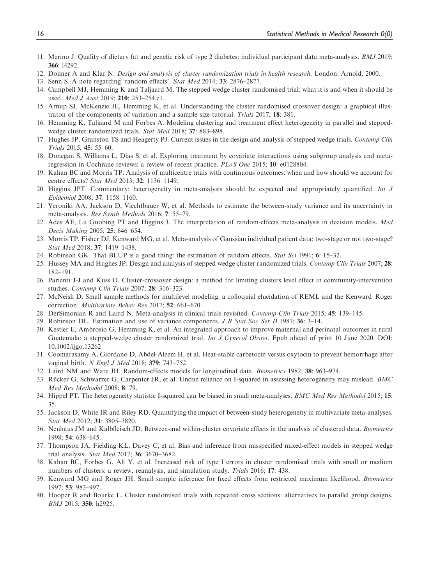- 11. Merino J. Quality of dietary fat and genetic risk of type 2 diabetes: individual participant data meta-analysis. BMJ 2019; 366: l4292.
- 12. Donner A and Klar N. Design and analysis of cluster randomization trials in health research. London: Arnold, 2000.
- 13. Senn S. A note regarding 'random effects'. Stat Med 2014; 33: 2876–2877.
- 14. Campbell MJ, Hemming K and Taljaard M. The stepped wedge cluster randomised trial: what it is and when it should be used. Med J Aust 2019; 210: 253-254.e1.
- 15. Arnup SJ, McKenzie JE, Hemming K, et al. Understanding the cluster randomised crossover design: a graphical illustraton of the components of variation and a sample size tutorial. Trials 2017; 18: 381.
- 16. Hemming K, Taljaard M and Forbes A. Modeling clustering and treatment effect heterogeneity in parallel and steppedwedge cluster randomized trials. Stat Med 2018; 37: 883–898.
- 17. Hughes JP, Granston TS and Heagerty PJ. Current issues in the design and analysis of stepped wedge trials. Contemp Clin Trials 2015; 45: 55–60.
- 18. Donegan S, Williams L, Dias S, et al. Exploring treatment by covariate interactions using subgroup analysis and metaregression in Cochrane reviews: a review of recent practice. PLoS One 2015; 10: e0128804.
- 19. Kahan BC and Morris TP. Analysis of multicentre trials with continuous outcomes: when and how should we account for centre effects? Stat Med 2013; 32: 1136–1149.
- 20. Higgins JPT. Commentary: heterogeneity in meta-analysis should be expected and appropriately quantified. Int J Epidemiol 2008; 37: 1158–1160.
- 21. Veroniki AA, Jackson D, Viechtbauer W, et al. Methods to estimate the between-study variance and its uncertainty in meta-analysis. Res Synth Methods 2016; 7: 55–79.
- 22. Ades AE, Lu Guobing PT and Higgins J. The interpretation of random-effects meta-analysis in decision models. Med Decis Making 2005; 25: 646–654.
- 23. Morris TP, Fisher DJ, Kenward MG, et al. Meta-analysis of Gaussian individual patient data: two-stage or not two-stage? Stat Med 2018; 37: 1419–1438.
- 24. Robinson GK. That BLUP is a good thing: the estimation of random effects. Stat Sci 1991; 6: 15–32.
- 25. Hussey MA and Hughes JP. Design and analysis of stepped wedge cluster randomized trials. Contemp Clin Trials 2007; 28: 182–191.
- 26. Parienti J-J and Kuss O. Cluster-crossover design: a method for limiting clusters level effect in community-intervention studies. Contemp Clin Trials 2007; 28: 316–323.
- 27. McNeish D. Small sample methods for multilevel modeling: a colloquial elucidation of REML and the Kenward–Roger correction. Multivariate Behav Res 2017; 52: 661–670.
- 28. DerSimonian R and Laird N. Meta-analysis in clinical trials revisited. Contemp Clin Trials 2015; 45: 139–145.
- 29. Robinson DL. Estimation and use of variance components. *J R Stat Soc Ser D* 1987; 36: 3–14.
- 30. Kestler E, Ambrosio G, Hemming K, et al. An integrated approach to improve maternal and perinatal outcomes in rural Guatemala: a stepped-wedge cluster randomized trial. Int J Gynecol Obstet. Epub ahead of print 10 June 2020. DOI: 10.1002/ijgo.13262
- 31. Coomarasamy A, Giordano D, Abdel-Aleem H, et al. Heat-stable carbetocin versus oxytocin to prevent hemorrhage after vaginal birth. N Engl J Med 2018; 379: 743–752.
- 32. Laird NM and Ware JH. Random-effects models for longitudinal data. Biometrics 1982; 38: 963–974.
- 33. Rücker G, Schwarzer G, Carpenter JR, et al. Undue reliance on I-squared in assessing heterogeneity may mislead. BMC Med Res Methodol 2008; 8: 79.
- 34. Hippel PT. The heterogeneity statistic I-squared can be biased in small meta-analyses. BMC Med Res Methodol 2015; 15: 35.
- 35. Jackson D, White IR and Riley RD. Quantifying the impact of between-study heterogeneity in multivariate meta-analyses. Stat Med 2012; 31: 3805–3820.
- 36. Neuhaus JM and Kalbfleisch JD. Between-and within-cluster covariate effects in the analysis of clustered data. Biometrics 1998; 54: 638–645.
- 37. Thompson JA, Fielding KL, Davey C, et al. Bias and inference from misspecified mixed-effect models in stepped wedge trial analysis. Stat Med 2017; 36: 3670–3682.
- 38. Kahan BC, Forbes G, Ali Y, et al. Increased risk of type I errors in cluster randomised trials with small or medium numbers of clusters: a review, reanalysis, and simulation study. Trials 2016; 17: 438.
- 39. Kenward MG and Roger JH. Small sample inference for fixed effects from restricted maximum likelihood. Biometrics 1997; 53: 983–997.
- 40. Hooper R and Bourke L. Cluster randomised trials with repeated cross sections: alternatives to parallel group designs. BMJ 2015; 350: h2925.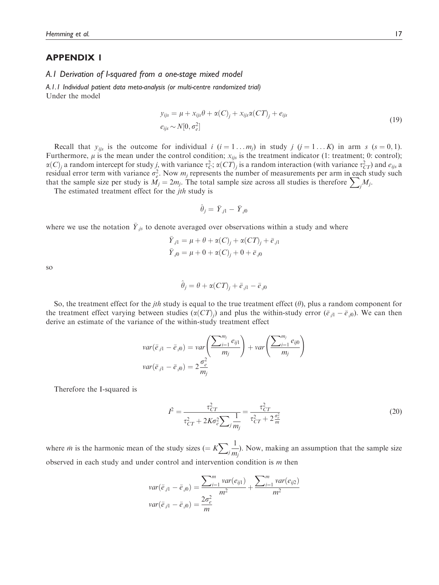# APPENDIX 1

## A.1 Derivation of I-squared from a one-stage mixed model

A.1.1 Individual patient data meta-analysis (or multi-centre randomized trial) Under the model

$$
y_{ijs} = \mu + x_{ijs}\theta + \alpha(C)_j + x_{ijs}\alpha(CT)_j + e_{ijs}
$$
  
\n
$$
e_{ijs} \sim N[0, \sigma_e^2]
$$
\n(19)

Recall that  $y_{ijs}$  is the outcome for individual i  $(i = 1 ... m_j)$  in study j  $(j = 1 ... K)$  in arm s  $(s = 0, 1)$ . Furthermore,  $\mu$  is the mean under the control condition;  $x_{ijs}$  is the treatment indicator (1: treatment; 0: control);  $\alpha(C)_j$  a random intercept for study *j*, with variance  $\tau_C^2$ ;  $\alpha(CT)_j$  is a random interaction (with variance  $\tau_{CT}^2$ ) and  $e_{ijs}$  a residual error term with variance  $\sigma_e^2$ . Now  $m_j$  represents the number of measurements per arm in each study such that the sample size per study is  $M_j = 2m_j$ . The total sample size across all studies is therefore  $\sum_j M_j$ .

The estimated treatment effect for the *jth* study is

 $\hat{\theta}_j = \bar{Y}_{j1} - \bar{Y}_{j0}$ 

where we use the notation  $\bar{Y}_{.js}$  to denote averaged over observations within a study and where

$$
\overline{Y}_{j1} = \mu + \theta + \alpha(C)_j + \alpha (CT)_j + \overline{e}_{j1}
$$
  

$$
\overline{Y}_{j0} = \mu + 0 + \alpha(C)_j + 0 + \overline{e}_{j0}
$$

so

$$
\hat{\theta}_j = \theta + \alpha (CT)_j + \bar{e}_{j1} - \bar{e}_{j0}
$$

So, the treatment effect for the *jth* study is equal to the true treatment effect  $(\theta)$ , plus a random component for the treatment effect varying between studies  $(\alpha (CT)_j)$  and plus the within-study error  $(\bar{e}_{j1} - \bar{e}_{j0})$ . We can then derive an estimate of the variance of the within-study treatment effect

$$
var(\bar{e}_{j1} - \bar{e}_{j0}) = var\left(\frac{\sum_{i=1}^{m_j} e_{ij1}}{m_j}\right) + var\left(\frac{\sum_{i=1}^{m_j} e_{ij0}}{m_j}\right)
$$

$$
var(\bar{e}_{j1} - \bar{e}_{j0}) = 2\frac{\sigma_e^2}{m_j}
$$

Therefore the I-squared is

$$
I^{2} = \frac{\tau_{CT}^{2}}{\tau_{CT}^{2} + 2K\sigma_{e}^{2} \sum_{j} \frac{1}{m_{j}}} = \frac{\tau_{CT}^{2}}{\tau_{CT}^{2} + 2\frac{\sigma_{e}^{2}}{m}}
$$
(20)

where  $\bar{m}$  is the harmonic mean of the study sizes (=  $K\sum_{j}$ 1  $\frac{1}{m_j}$ ). Now, making an assumption that the sample size observed in each study and under control and intervention condition is  $m$  then

$$
var(\bar{e}_{.j1} - \bar{e}_{.j0}) = \frac{\sum_{i=1}^{m} var(e_{ij1})}{m^2} + \frac{\sum_{i=1}^{m} var(e_{ij2})}{m^2}
$$

$$
var(\bar{e}_{.j1} - \bar{e}_{.j0}) = \frac{2\sigma_e^2}{m}
$$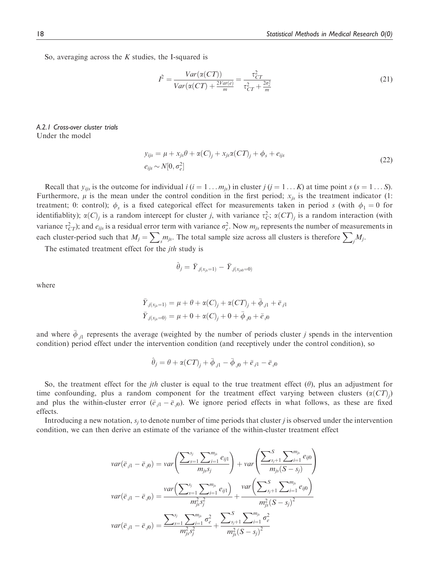So, averaging across the  $K$  studies, the I-squared is

$$
I^2 = \frac{Var(\alpha(CT))}{Var(\alpha(CT) + \frac{2Var(e)}{m})} = \frac{\tau_{CT}^2}{\tau_{CT}^2 + \frac{2\sigma_e^2}{m}}
$$
(21)

A.2.1 Cross-over cluster trials Under the model

$$
y_{ijs} = \mu + x_{js}\theta + \alpha(C)_j + x_{js}\alpha(CT)_j + \phi_s + e_{ijs}
$$
  
\n
$$
e_{ijs} \sim N[0, \sigma_e^2]
$$
\n(22)

Recall that  $y_{ijs}$  is the outcome for individual  $i$  ( $i = 1 \dots m_{is}$ ) in cluster  $j$  ( $j = 1 \dots K$ ) at time point  $s$  ( $s = 1 \dots S$ ). Furthermore,  $\mu$  is the mean under the control condition in the first period;  $x_{is}$  is the treatment indicator (1: treatment; 0: control);  $\phi_s$  is a fixed categorical effect for measurements taken in period s (with  $\phi_1 = 0$  for identifiablity);  $\alpha(C)_j$  is a random intercept for cluster *j*, with variance  $\tau_C^2$ ;  $\alpha(CT)_j$  is a random interaction (with variance  $\tau_{CT}^2$ ); and  $e_{ijs}$  is a residual error term with variance  $\sigma_e^2$ . Now  $m_{js}$  represents the number of measurements in each cluster-period such that  $M_j = \sum_s m_{js}$ . The total sample size across all clusters is therefore  $\sum_j M_j$ .

The estimated treatment effect for the *jth* study is

$$
\hat{\theta}_j = \bar{Y}_{j(x_{js}=1)} - \bar{Y}_{j(x_{js0}=0)}
$$

where

$$
\bar{Y}_{j(x_{j\bar{s}}=1)} = \mu + \theta + \alpha(C)_{j} + \alpha (CT)_{j} + \bar{\phi}_{j1} + \bar{e}_{j1}
$$
\n
$$
\bar{Y}_{j(x_{j\bar{s}}=0)} = \mu + 0 + \alpha(C)_{j} + 0 + \bar{\phi}_{j0} + \bar{e}_{j0}
$$

and where  $\bar{\phi}_{j1}$  represents the average (weighted by the number of periods cluster j spends in the intervention condition) period effect under the intervention condition (and receptively under the control condition), so

$$
\hat{\theta}_j = \theta + \alpha (CT)_j + \bar{\phi}_{j1} - \bar{\phi}_{j0} + \bar{e}_{j1} - \bar{e}_{j0}
$$

So, the treatment effect for the *jth* cluster is equal to the true treatment effect  $(\theta)$ , plus an adjustment for time confounding, plus a random component for the treatment effect varying between clusters  $(\alpha (CT)_j)$ and plus the within-cluster error  $(\bar{e}_{j1} - \bar{e}_{j0})$ . We ignore period effects in what follows, as these are fixed effects.

Introducing a new notation,  $s_i$  to denote number of time periods that cluster *j* is observed under the intervention condition, we can then derive an estimate of the variance of the within-cluster treatment effect

$$
var(\bar{e}_{j1} - \bar{e}_{j0}) = var\left(\frac{\sum_{s=1}^{s_j} \sum_{i=1}^{m_{js}} e_{ij1}}{m_{js}s_j}\right) + var\left(\frac{\sum_{s_j+1}^{s_j} \sum_{i=1}^{m_{js}} e_{ij0}}{m_{js}(S-s_j)}\right)
$$

$$
var(\bar{e}_{j1} - \bar{e}_{j0}) = \frac{var\left(\sum_{s=1}^{s_j} \sum_{i=1}^{m_{js}} e_{ij1}\right)}{m_{js}^2s_j^2} + \frac{var\left(\sum_{s_j+1}^{s} \sum_{i=1}^{m_{js}} e_{ij0}\right)}{m_{js}^2(S-s_j)^2}
$$

$$
var(\bar{e}_{j1} - \bar{e}_{j0}) = \frac{\sum_{s=1}^{s_j} \sum_{i=1}^{m_{js}} \sigma_e^2}{m_{js}^2s_j^2} + \frac{\sum_{s_j+1}^{s_j} \sum_{i=1}^{m_{js}} \sigma_e^2}{m_{js}^2(S-s_j)^2}
$$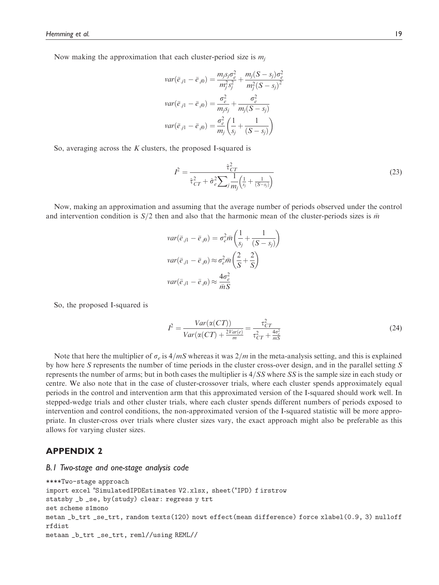Now making the approximation that each cluster-period size is  $m_i$ 

$$
var(\bar{e}_{j1} - \bar{e}_{j0}) = \frac{m_j s_j \sigma_e^2}{m_j^2 s_j^2} + \frac{m_j (S - s_j) \sigma_e^2}{m_j^2 (S - s_j)^2}
$$

$$
var(\bar{e}_{j1} - \bar{e}_{j0}) = \frac{\sigma_e^2}{m_j s_j} + \frac{\sigma_e^2}{m_j (S - s_j)}
$$

$$
var(\bar{e}_{j1} - \bar{e}_{j0}) = \frac{\sigma_e^2}{m_j} \left(\frac{1}{s_j} + \frac{1}{(S - s_j)}\right)
$$

So, averaging across the  $K$  clusters, the proposed I-squared is

$$
I^{2} = \frac{\hat{\tau}_{CT}^{2}}{\hat{\tau}_{CT}^{2} + \hat{\sigma}_{e}^{2} \sum_{j} \frac{1}{m_{j}} \left( \frac{1}{s_{j}} + \frac{1}{(S - s_{j})} \right)}
$$
(23)

Now, making an approximation and assuming that the average number of periods observed under the control and intervention condition is  $S/2$  then and also that the harmonic mean of the cluster-periods sizes is  $\bar{m}$ 

$$
var(\bar{e}_{.j1} - \bar{e}_{.j0}) = \sigma_e^2 \bar{m} \left( \frac{1}{s_j} + \frac{1}{(S - s_j)} \right)
$$

$$
var(\bar{e}_{.j1} - \bar{e}_{.j0}) \approx \sigma_e^2 \bar{m} \left( \frac{2}{S} + \frac{2}{S} \right)
$$

$$
var(\bar{e}_{.j1} - \bar{e}_{.j0}) \approx \frac{4\sigma_e^2}{\bar{m}S}
$$

So, the proposed I-squared is

$$
I^2 = \frac{Var(\alpha(CT))}{Var(\alpha(CT) + \frac{2Var(e)}{m})} = \frac{\tau_{CT}^2}{\tau_{CT}^2 + \frac{4\sigma_e^2}{mS}}
$$
(24)

Note that here the multiplier of  $\sigma_e$  is  $4/mS$  whereas it was  $2/m$  in the meta-analysis setting, and this is explained by how here S represents the number of time periods in the cluster cross-over design, and in the parallel setting S represents the number of arms; but in both cases the multiplier is  $4/SS$  where SS is the sample size in each study or centre. We also note that in the case of cluster-crossover trials, where each cluster spends approximately equal periods in the control and intervention arm that this approximated version of the I-squared should work well. In stepped-wedge trials and other cluster trials, where each cluster spends different numbers of periods exposed to intervention and control conditions, the non-approximated version of the I-squared statistic will be more appropriate. In cluster-cross over trials where cluster sizes vary, the exact approach might also be preferable as this allows for varying cluster sizes.

# APPENDIX 2

#### B.1 Two-stage and one-stage analysis code

```
****Two-stage approach
import excel "SimulatedIPDEstimates V2.xlsx, sheet("IPD) f irstrow
statsby _b _se, by(study) clear: regress y trt
set scheme s1mono
metan _b_trt _se_trt, random texts(120) nowt effect(mean difference) force xlabel(0.9, 3) nulloff
rfdist
metaan _b_trt _se_trt, reml//using REML//
```